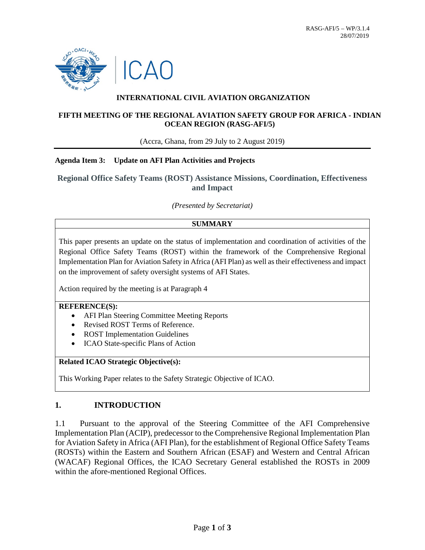

## **INTERNATIONAL CIVIL AVIATION ORGANIZATION**

### **FIFTH MEETING OF THE REGIONAL AVIATION SAFETY GROUP FOR AFRICA - INDIAN OCEAN REGION (RASG-AFI/5)**

(Accra, Ghana, from 29 July to 2 August 2019)

#### **Agenda Item 3: Update on AFI Plan Activities and Projects**

**Regional Office Safety Teams (ROST) Assistance Missions, Coordination, Effectiveness and Impact**

*(Presented by Secretariat)*

#### **SUMMARY**

This paper presents an update on the status of implementation and coordination of activities of the Regional Office Safety Teams (ROST) within the framework of the Comprehensive Regional Implementation Plan for Aviation Safety in Africa (AFI Plan) as well as their effectiveness and impact on the improvement of safety oversight systems of AFI States.

Action required by the meeting is at Paragraph 4

#### **REFERENCE(S):**

- AFI Plan Steering Committee Meeting Reports
- Revised ROST Terms of Reference.
- **ROST Implementation Guidelines**
- ICAO State-specific Plans of Action

#### **Related ICAO Strategic Objective(s):**

This Working Paper relates to the Safety Strategic Objective of ICAO.

### **1. INTRODUCTION**

1.1 Pursuant to the approval of the Steering Committee of the AFI Comprehensive Implementation Plan (ACIP), predecessor to the Comprehensive Regional Implementation Plan for Aviation Safety in Africa (AFI Plan), for the establishment of Regional Office Safety Teams (ROSTs) within the Eastern and Southern African (ESAF) and Western and Central African (WACAF) Regional Offices, the ICAO Secretary General established the ROSTs in 2009 within the afore-mentioned Regional Offices.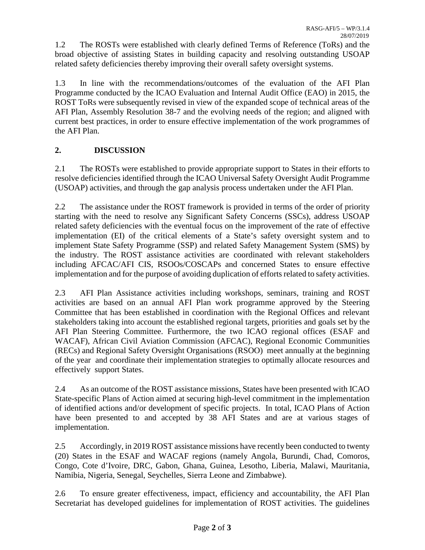1.2 The ROSTs were established with clearly defined Terms of Reference (ToRs) and the broad objective of assisting States in building capacity and resolving outstanding USOAP related safety deficiencies thereby improving their overall safety oversight systems.

1.3 In line with the recommendations/outcomes of the evaluation of the AFI Plan Programme conducted by the ICAO Evaluation and Internal Audit Office (EAO) in 2015, the ROST ToRs were subsequently revised in view of the expanded scope of technical areas of the AFI Plan, Assembly Resolution 38-7 and the evolving needs of the region; and aligned with current best practices, in order to ensure effective implementation of the work programmes of the AFI Plan.

# **2. DISCUSSION**

2.1 The ROSTs were established to provide appropriate support to States in their efforts to resolve deficiencies identified through the ICAO Universal Safety Oversight Audit Programme (USOAP) activities, and through the gap analysis process undertaken under the AFI Plan.

2.2 The assistance under the ROST framework is provided in terms of the order of priority starting with the need to resolve any Significant Safety Concerns (SSCs), address USOAP related safety deficiencies with the eventual focus on the improvement of the rate of effective implementation (EI) of the critical elements of a State's safety oversight system and to implement State Safety Programme (SSP) and related Safety Management System (SMS) by the industry. The ROST assistance activities are coordinated with relevant stakeholders including AFCAC/AFI CIS, RSOOs/COSCAPs and concerned States to ensure effective implementation and for the purpose of avoiding duplication of efforts related to safety activities.

2.3 AFI Plan Assistance activities including workshops, seminars, training and ROST activities are based on an annual AFI Plan work programme approved by the Steering Committee that has been established in coordination with the Regional Offices and relevant stakeholders taking into account the established regional targets, priorities and goals set by the AFI Plan Steering Committee. Furthermore, the two ICAO regional offices (ESAF and WACAF), African Civil Aviation Commission (AFCAC), Regional Economic Communities (RECs) and Regional Safety Oversight Organisations (RSOO) meet annually at the beginning of the year and coordinate their implementation strategies to optimally allocate resources and effectively support States.

2.4 As an outcome of the ROST assistance missions, States have been presented with ICAO State-specific Plans of Action aimed at securing high-level commitment in the implementation of identified actions and/or development of specific projects. In total, ICAO Plans of Action have been presented to and accepted by 38 AFI States and are at various stages of implementation.

2.5 Accordingly, in 2019 ROST assistance missions have recently been conducted to twenty (20) States in the ESAF and WACAF regions (namely Angola, Burundi, Chad, Comoros, Congo, Cote d'Ivoire, DRC, Gabon, Ghana, Guinea, Lesotho, Liberia, Malawi, Mauritania, Namibia, Nigeria, Senegal, Seychelles, Sierra Leone and Zimbabwe).

2.6 To ensure greater effectiveness, impact, efficiency and accountability, the AFI Plan Secretariat has developed guidelines for implementation of ROST activities. The guidelines